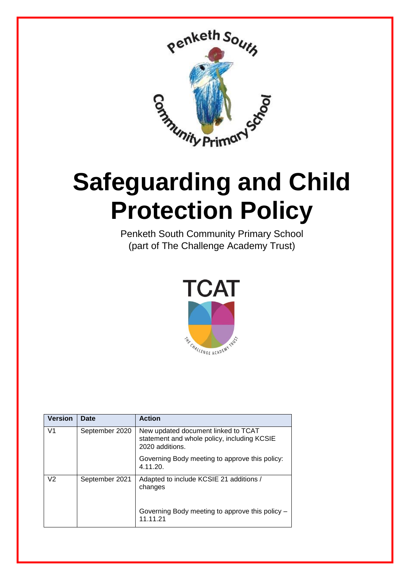

# **Safeguarding and Child Protection Policy**

Penketh South Community Primary School (part of The Challenge Academy Trust)



| <b>Version</b> | Date           | <b>Action</b>                                                                                         |
|----------------|----------------|-------------------------------------------------------------------------------------------------------|
| V <sub>1</sub> | September 2020 | New updated document linked to TCAT<br>statement and whole policy, including KCSIE<br>2020 additions. |
|                |                | Governing Body meeting to approve this policy:<br>4.11.20.                                            |
| V <sub>2</sub> | September 2021 | Adapted to include KCSIE 21 additions /<br>changes                                                    |
|                |                | Governing Body meeting to approve this policy -<br>11 11 21                                           |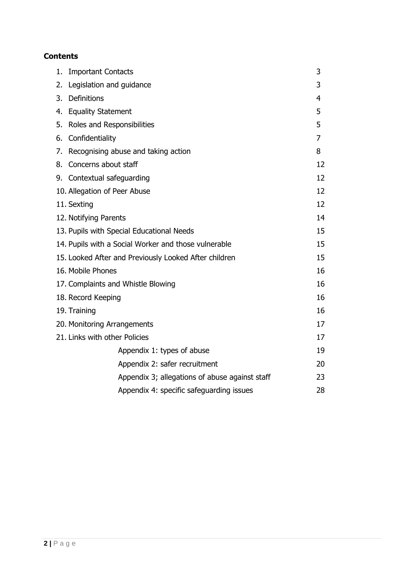# **Contents**

| 1. | <b>Important Contacts</b>                                   | 3              |  |  |
|----|-------------------------------------------------------------|----------------|--|--|
| 2. | Legislation and guidance                                    | 3              |  |  |
| 3. | <b>Definitions</b>                                          | 4              |  |  |
| 4. | <b>Equality Statement</b>                                   | 5              |  |  |
| 5. | Roles and Responsibilities                                  | 5              |  |  |
|    | 6. Confidentiality                                          | $\overline{7}$ |  |  |
| 7. | Recognising abuse and taking action                         | 8              |  |  |
| 8. | Concerns about staff                                        | 12             |  |  |
|    | 9. Contextual safeguarding                                  |                |  |  |
|    | 10. Allegation of Peer Abuse                                | 12             |  |  |
|    | 11. Sexting                                                 |                |  |  |
|    | 12. Notifying Parents                                       |                |  |  |
|    | 13. Pupils with Special Educational Needs                   |                |  |  |
|    | 14. Pupils with a Social Worker and those vulnerable        |                |  |  |
|    | 15. Looked After and Previously Looked After children<br>15 |                |  |  |
|    | 16. Mobile Phones                                           |                |  |  |
|    | 17. Complaints and Whistle Blowing                          |                |  |  |
|    | 18. Record Keeping                                          |                |  |  |
|    | 19. Training                                                | 16             |  |  |
|    | 20. Monitoring Arrangements                                 |                |  |  |
|    | 21. Links with other Policies                               |                |  |  |
|    | Appendix 1: types of abuse                                  | 19             |  |  |
|    | Appendix 2: safer recruitment                               | 20             |  |  |
|    | Appendix 3; allegations of abuse against staff              | 23             |  |  |
|    | Appendix 4: specific safeguarding issues                    | 28             |  |  |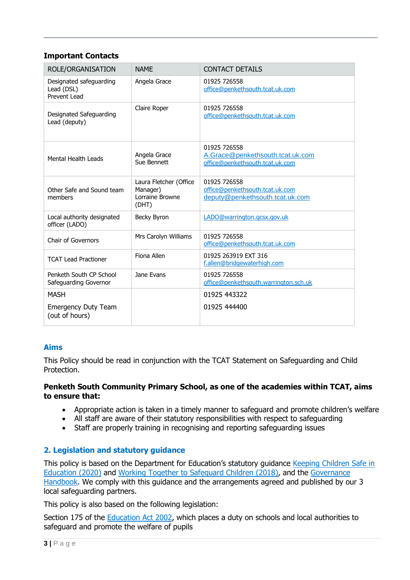## **Important Contacts**

| ROLE/ORGANISATION                                     | <b>NAME</b>                                                    | <b>CONTACT DETAILS</b>                                                              |
|-------------------------------------------------------|----------------------------------------------------------------|-------------------------------------------------------------------------------------|
| Designated safeguarding<br>Lead (DSL)<br>Prevent Lead | Angela Grace                                                   | 01925 726558<br>office@penkethsouth.tcat.uk.com                                     |
| Designated Safeguarding<br>Lead (deputy)              | Claire Roper                                                   | 01925 726558<br>office@penkethsouth.tcat.uk.com                                     |
| Mental Health Leads                                   | Angela Grace<br>Sue Bennett                                    | 01925 726558<br>A.Grace@penkethsouth.tcat.uk.com<br>office@penkethsouth.tcat.uk.com |
| Other Safe and Sound team<br>members                  | Laura Fletcher (Office<br>Manager)<br>Lorraine Browne<br>(DHT) | 01925 726558<br>office@penkethsouth.tcat.uk.com<br>deputy@penkethsouth.tcat.uk.com  |
| Local authority designated<br>officer (LADO)          | Becky Byron                                                    | LADO@warrington.gcsx.gov.uk                                                         |
| Chair of Governors                                    | Mrs Carolyn Williams                                           | 01925 726558<br>office@penkethsouth.tcat.uk.com                                     |
| <b>TCAT Lead Practioner</b>                           | Fiona Allen                                                    | 01925 263919 EXT 316<br>f.allen@bridgewaterhigh.com                                 |
| Penketh South CP School<br>Safeguarding Governor      | Jane Evans                                                     | 01925 726558<br>office@penkethsouth.warrington.sch.uk                               |
| <b>MASH</b>                                           |                                                                | 01925 443322                                                                        |
| <b>Emergency Duty Team</b><br>(out of hours)          |                                                                | 01925 444400                                                                        |

## **Aims**

This Policy should be read in conjunction with the TCAT Statement on Safeguarding and Child Protection.

#### **Penketh South Community Primary School, as one of the academies within TCAT, aims to ensure that:**

- Appropriate action is taken in a timely manner to safeguard and promote children's welfare
- All staff are aware of their statutory responsibilities with respect to safeguarding
- Staff are properly training in recognising and reporting safeguarding issues

## **2. Legislation and statutory guidance**

This policy is based on the Department for Education's statutory guidance [Keeping Children Safe in](https://www.gov.uk/government/publications/keeping-children-safe-in-education--2)  [Education \(2020\)](https://www.gov.uk/government/publications/keeping-children-safe-in-education--2) and [Working Together to Safeguard Children \(2018\),](https://www.gov.uk/government/publications/working-together-to-safeguard-children--2) and the [Governance](https://www.gov.uk/government/publications/governance-handbook)  [Handbook.](https://www.gov.uk/government/publications/governance-handbook) We comply with this guidance and the arrangements agreed and published by our 3 local safeguarding partners.

This policy is also based on the following legislation:

Section 175 of the [Education Act 2002,](http://www.legislation.gov.uk/ukpga/2002/32/section/175) which places a duty on schools and local authorities to safeguard and promote the welfare of pupils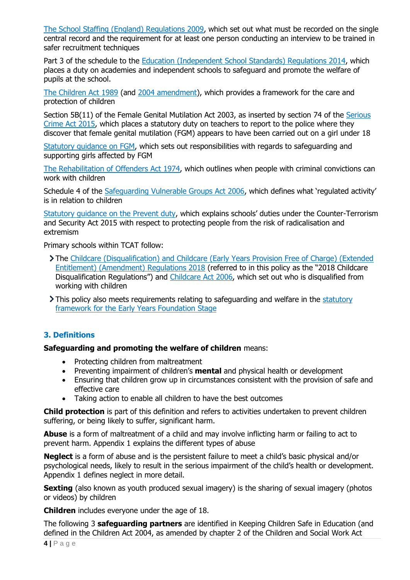[The School Staffing \(England\) Regulations 2009,](http://www.legislation.gov.uk/uksi/2009/2680/contents/made) which set out what must be recorded on the single central record and the requirement for at least one person conducting an interview to be trained in safer recruitment techniques

Part 3 of the schedule to the [Education \(Independent School Standards\) Regulations 2014,](http://www.legislation.gov.uk/uksi/2014/3283/schedule/part/3/made) which places a duty on academies and independent schools to safeguard and promote the welfare of pupils at the school.

[The Children Act 1989](http://www.legislation.gov.uk/ukpga/1989/41) (and [2004 amendment\)](http://www.legislation.gov.uk/ukpga/2004/31/contents), which provides a framework for the care and protection of children

Section 5B(11) of the Female Genital Mutilation Act 2003, as inserted by section 74 of the Serious [Crime Act 2015,](http://www.legislation.gov.uk/ukpga/2015/9/part/5/crossheading/female-genital-mutilation) which places a statutory duty on teachers to report to the police where they discover that female genital mutilation (FGM) appears to have been carried out on a girl under 18

[Statutory guidance on FGM,](https://www.gov.uk/government/publications/multi-agency-statutory-guidance-on-female-genital-mutilation) which sets out responsibilities with regards to safeguarding and supporting girls affected by FGM

[The Rehabilitation of Offenders Act 1974,](http://www.legislation.gov.uk/ukpga/1974/53) which outlines when people with criminal convictions can work with children

Schedule 4 of the [Safeguarding Vulnerable Groups Act 2006,](http://www.legislation.gov.uk/ukpga/2006/47/schedule/4) which defines what 'regulated activity' is in relation to children

[Statutory guidance on the Prevent duty](https://www.gov.uk/government/publications/prevent-duty-guidance), which explains schools' duties under the Counter-Terrorism and Security Act 2015 with respect to protecting people from the risk of radicalisation and extremism

Primary schools within TCAT follow:

- The [Childcare \(Disqualification\) and Childcare \(Early](http://www.legislation.gov.uk/uksi/2018/794/contents/made) Years Provision Free of Charge) (Extended [Entitlement\) \(Amendment\) Regulations 2018](http://www.legislation.gov.uk/uksi/2018/794/contents/made) (referred to in this policy as the "2018 Childcare Disqualification Regulations") and [Childcare Act 2006,](http://www.legislation.gov.uk/ukpga/2006/21/contents) which set out who is disqualified from working with children
- This policy also meets requirements relating to safeguarding and welfare in the [statutory](https://www.gov.uk/government/publications/early-years-foundation-stage-framework--2)  [framework for the Early Years Foundation Stage](https://www.gov.uk/government/publications/early-years-foundation-stage-framework--2)

## **3. Definitions**

#### **Safeguarding and promoting the welfare of children** means:

- Protecting children from maltreatment
- Preventing impairment of children's **mental** and physical health or development
- Ensuring that children grow up in circumstances consistent with the provision of safe and effective care
- Taking action to enable all children to have the best outcomes

**Child protection** is part of this definition and refers to activities undertaken to prevent children suffering, or being likely to suffer, significant harm.

**Abuse** is a form of maltreatment of a child and may involve inflicting harm or failing to act to prevent harm. Appendix 1 explains the different types of abuse

**Neglect** is a form of abuse and is the persistent failure to meet a child's basic physical and/or psychological needs, likely to result in the serious impairment of the child's health or development. Appendix 1 defines neglect in more detail.

**Sexting** (also known as youth produced sexual imagery) is the sharing of sexual imagery (photos or videos) by children

**Children** includes everyone under the age of 18.

The following 3 **safeguarding partners** are identified in Keeping Children Safe in Education (and defined in the Children Act 2004, as amended by chapter 2 of the Children and Social Work Act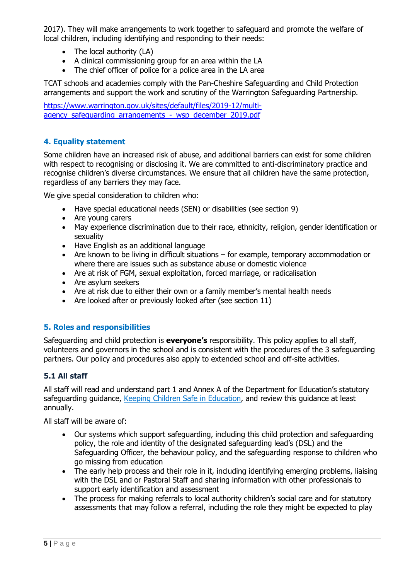2017). They will make arrangements to work together to safeguard and promote the welfare of local children, including identifying and responding to their needs:

- The local authority (LA)
- A clinical commissioning group for an area within the LA
- The chief officer of police for a police area in the LA area

TCAT schools and academies comply with the Pan-Cheshire Safeguarding and Child Protection arrangements and support the work and scrutiny of the Warrington Safeguarding Partnership.

[https://www.warrington.gov.uk/sites/default/files/2019-12/multi](https://www.warrington.gov.uk/sites/default/files/2019-12/multi-agency_safeguarding_arrangements_-_wsp_december_2019.pdf)agency safeguarding arrangements - wsp december 2019.pdf

# **4. Equality statement**

Some children have an increased risk of abuse, and additional barriers can exist for some children with respect to recognising or disclosing it. We are committed to anti-discriminatory practice and recognise children's diverse circumstances. We ensure that all children have the same protection, regardless of any barriers they may face.

We give special consideration to children who:

- Have special educational needs (SEN) or disabilities (see section 9)
- Are young carers
- May experience discrimination due to their race, ethnicity, religion, gender identification or sexuality
- Have English as an additional language
- Are known to be living in difficult situations for example, temporary accommodation or where there are issues such as substance abuse or domestic violence
- Are at risk of FGM, sexual exploitation, forced marriage, or radicalisation
- Are asylum seekers
- Are at risk due to either their own or a family member's mental health needs
- Are looked after or previously looked after (see section 11)

## **5. Roles and responsibilities**

Safeguarding and child protection is **everyone's** responsibility. This policy applies to all staff, volunteers and governors in the school and is consistent with the procedures of the 3 safeguarding partners. Our policy and procedures also apply to extended school and off-site activities.

## **5.1 All staff**

All staff will read and understand part 1 and Annex A of the Department for Education's statutory safeguarding guidance, [Keeping Children Safe in Education,](https://www.gov.uk/government/publications/keeping-children-safe-in-education--2) and review this guidance at least annually.

All staff will be aware of:

- Our systems which support safeguarding, including this child protection and safeguarding policy, the role and identity of the designated safeguarding lead's (DSL) and the Safeguarding Officer, the behaviour policy, and the safeguarding response to children who go missing from education
- The early help process and their role in it, including identifying emerging problems, liaising with the DSL and or Pastoral Staff and sharing information with other professionals to support early identification and assessment
- The process for making referrals to local authority children's social care and for statutory assessments that may follow a referral, including the role they might be expected to play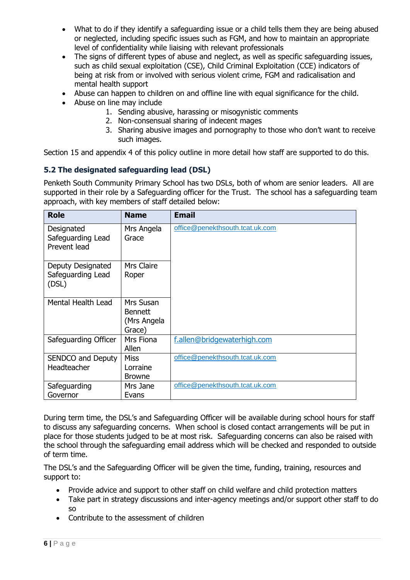- What to do if they identify a safeguarding issue or a child tells them they are being abused or neglected, including specific issues such as FGM, and how to maintain an appropriate level of confidentiality while liaising with relevant professionals
- The signs of different types of abuse and neglect, as well as specific safeguarding issues, such as child sexual exploitation (CSE), Child Criminal Exploitation (CCE) indicators of being at risk from or involved with serious violent crime, FGM and radicalisation and mental health support
- Abuse can happen to children on and offline line with equal significance for the child.
- Abuse on line may include
	- 1. Sending abusive, harassing or misogynistic comments
	- 2. Non-consensual sharing of indecent mages
	- 3. Sharing abusive images and pornography to those who don't want to receive such images.

Section 15 and appendix 4 of this policy outline in more detail how staff are supported to do this.

## **5.2 The designated safeguarding lead (DSL)**

Penketh South Community Primary School has two DSLs, both of whom are senior leaders. All are supported in their role by a Safeguarding officer for the Trust. The school has a safeguarding team approach, with key members of staff detailed below:

| <b>Role</b>                                     | <b>Name</b>                                          | <b>Email</b>                    |
|-------------------------------------------------|------------------------------------------------------|---------------------------------|
| Designated<br>Safeguarding Lead<br>Prevent lead | Mrs Angela<br>Grace                                  | office@penekthsouth.tcat.uk.com |
| Deputy Designated<br>Safeguarding Lead<br>(DSL) | Mrs Claire<br>Roper                                  |                                 |
| Mental Health Lead                              | Mrs Susan<br><b>Bennett</b><br>(Mrs Angela<br>Grace) |                                 |
| Safeguarding Officer                            | Mrs Fiona<br>Allen                                   | f.allen@bridgewaterhigh.com     |
| SENDCO and Deputy<br>Headteacher                | <b>Miss</b><br>Lorraine<br><b>Browne</b>             | office@penekthsouth.tcat.uk.com |
| Safeguarding<br>Governor                        | Mrs Jane<br>Evans                                    | office@penekthsouth.tcat.uk.com |

During term time, the DSL's and Safeguarding Officer will be available during school hours for staff to discuss any safeguarding concerns. When school is closed contact arrangements will be put in place for those students judged to be at most risk. Safeguarding concerns can also be raised with the school through the safeguarding email address which will be checked and responded to outside of term time.

The DSL's and the Safeguarding Officer will be given the time, funding, training, resources and support to:

- Provide advice and support to other staff on child welfare and child protection matters
- Take part in strategy discussions and inter-agency meetings and/or support other staff to do so
- Contribute to the assessment of children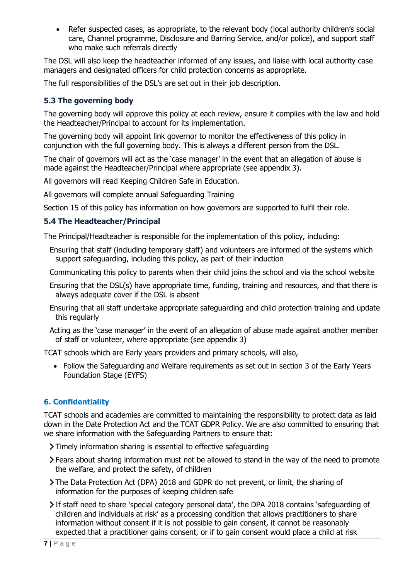• Refer suspected cases, as appropriate, to the relevant body (local authority children's social care, Channel programme, Disclosure and Barring Service, and/or police), and support staff who make such referrals directly

The DSL will also keep the headteacher informed of any issues, and liaise with local authority case managers and designated officers for child protection concerns as appropriate.

The full responsibilities of the DSL's are set out in their job description.

# **5.3 The governing body**

The governing body will approve this policy at each review, ensure it complies with the law and hold the Headteacher/Principal to account for its implementation.

The governing body will appoint link governor to monitor the effectiveness of this policy in conjunction with the full governing body. This is always a different person from the DSL.

The chair of governors will act as the 'case manager' in the event that an allegation of abuse is made against the Headteacher/Principal where appropriate (see appendix 3).

All governors will read Keeping Children Safe in Education.

All governors will complete annual Safeguarding Training

Section 15 of this policy has information on how governors are supported to fulfil their role.

## **5.4 The Headteacher/Principal**

The Principal/Headteacher is responsible for the implementation of this policy, including:

- Ensuring that staff (including temporary staff) and volunteers are informed of the systems which support safeguarding, including this policy, as part of their induction
- Communicating this policy to parents when their child joins the school and via the school website
- Ensuring that the DSL(s) have appropriate time, funding, training and resources, and that there is always adequate cover if the DSL is absent
- Ensuring that all staff undertake appropriate safeguarding and child protection training and update this regularly
- Acting as the 'case manager' in the event of an allegation of abuse made against another member of staff or volunteer, where appropriate (see appendix 3)

TCAT schools which are Early years providers and primary schools, will also,

• Follow the Safeguarding and Welfare requirements as set out in section 3 of the Early Years Foundation Stage (EYFS)

# **6. Confidentiality**

TCAT schools and academies are committed to maintaining the responsibility to protect data as laid down in the Date Protection Act and the TCAT GDPR Policy. We are also committed to ensuring that we share information with the Safeguarding Partners to ensure that:

- Timely information sharing is essential to effective safeguarding
- Fears about sharing information must not be allowed to stand in the way of the need to promote the welfare, and protect the safety, of children
- The Data Protection Act (DPA) 2018 and GDPR do not prevent, or limit, the sharing of information for the purposes of keeping children safe
- If staff need to share 'special category personal data', the DPA 2018 contains 'safeguarding of children and individuals at risk' as a processing condition that allows practitioners to share information without consent if it is not possible to gain consent, it cannot be reasonably expected that a practitioner gains consent, or if to gain consent would place a child at risk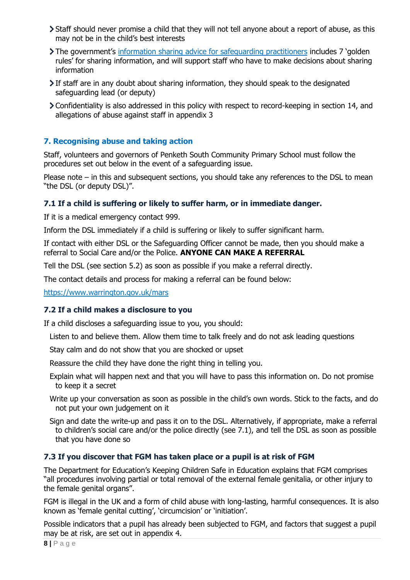- Staff should never promise a child that they will not tell anyone about a report of abuse, as this may not be in the child's best interests
- The government's [information sharing advice for safeguarding practitioners](https://www.gov.uk/government/publications/safeguarding-practitioners-information-sharing-advice) includes 7 'golden rules' for sharing information, and will support staff who have to make decisions about sharing information
- If staff are in any doubt about sharing information, they should speak to the designated safeguarding lead (or deputy)
- Confidentiality is also addressed in this policy with respect to record-keeping in section 14, and allegations of abuse against staff in appendix 3

# **7. Recognising abuse and taking action**

Staff, volunteers and governors of Penketh South Community Primary School must follow the procedures set out below in the event of a safeguarding issue.

Please note – in this and subsequent sections, you should take any references to the DSL to mean "the DSL (or deputy DSL)".

# **7.1 If a child is suffering or likely to suffer harm, or in immediate danger.**

If it is a medical emergency contact 999.

Inform the DSL immediately if a child is suffering or likely to suffer significant harm.

If contact with either DSL or the Safeguarding Officer cannot be made, then you should make a referral to Social Care and/or the Police. **ANYONE CAN MAKE A REFERRAL**

Tell the DSL (see section 5.2) as soon as possible if you make a referral directly.

The contact details and process for making a referral can be found below:

<https://www.warrington.gov.uk/mars>

## **7.2 If a child makes a disclosure to you**

If a child discloses a safeguarding issue to you, you should:

Listen to and believe them. Allow them time to talk freely and do not ask leading questions

Stay calm and do not show that you are shocked or upset

Reassure the child they have done the right thing in telling you.

Explain what will happen next and that you will have to pass this information on. Do not promise to keep it a secret

Write up your conversation as soon as possible in the child's own words. Stick to the facts, and do not put your own judgement on it

Sign and date the write-up and pass it on to the DSL. Alternatively, if appropriate, make a referral to children's social care and/or the police directly (see 7.1), and tell the DSL as soon as possible that you have done so

## **7.3 If you discover that FGM has taken place or a pupil is at risk of FGM**

The Department for Education's Keeping Children Safe in Education explains that FGM comprises "all procedures involving partial or total removal of the external female genitalia, or other injury to the female genital organs".

FGM is illegal in the UK and a form of child abuse with long-lasting, harmful consequences. It is also known as 'female genital cutting', 'circumcision' or 'initiation'.

Possible indicators that a pupil has already been subjected to FGM, and factors that suggest a pupil may be at risk, are set out in appendix 4.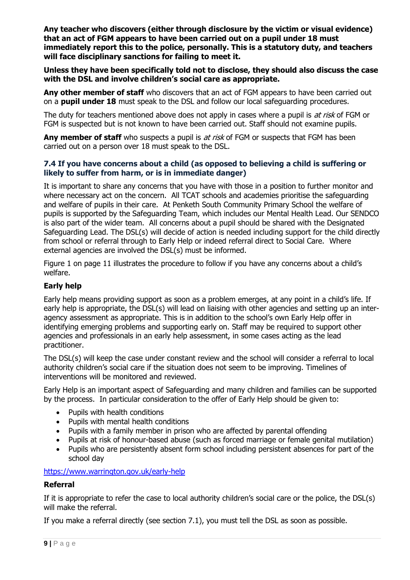**Any teacher who discovers (either through disclosure by the victim or visual evidence) that an act of FGM appears to have been carried out on a pupil under 18 must immediately report this to the police, personally. This is a statutory duty, and teachers will face disciplinary sanctions for failing to meet it.**

#### **Unless they have been specifically told not to disclose, they should also discuss the case with the DSL and involve children's social care as appropriate.**

**Any other member of staff** who discovers that an act of FGM appears to have been carried out on a **pupil under 18** must speak to the DSL and follow our local safeguarding procedures.

The duty for teachers mentioned above does not apply in cases where a pupil is at risk of FGM or FGM is suspected but is not known to have been carried out. Staff should not examine pupils.

**Any member of staff** who suspects a pupil is *at risk* of FGM or suspects that FGM has been carried out on a person over 18 must speak to the DSL.

#### **7.4 If you have concerns about a child (as opposed to believing a child is suffering or likely to suffer from harm, or is in immediate danger)**

It is important to share any concerns that you have with those in a position to further monitor and where necessary act on the concern. All TCAT schools and academies prioritise the safeguarding and welfare of pupils in their care. At Penketh South Community Primary School the welfare of pupils is supported by the Safeguarding Team, which includes our Mental Health Lead. Our SENDCO is also part of the wider team. All concerns about a pupil should be shared with the Designated Safeguarding Lead. The DSL(s) will decide of action is needed including support for the child directly from school or referral through to Early Help or indeed referral direct to Social Care. Where external agencies are involved the DSL(s) must be informed.

Figure 1 on page 11 illustrates the procedure to follow if you have any concerns about a child's welfare.

# **Early help**

Early help means providing support as soon as a problem emerges, at any point in a child's life. If early help is appropriate, the DSL(s) will lead on liaising with other agencies and setting up an interagency assessment as appropriate. This is in addition to the school's own Early Help offer in identifying emerging problems and supporting early on. Staff may be required to support other agencies and professionals in an early help assessment, in some cases acting as the lead practitioner.

The DSL(s) will keep the case under constant review and the school will consider a referral to local authority children's social care if the situation does not seem to be improving. Timelines of interventions will be monitored and reviewed.

Early Help is an important aspect of Safeguarding and many children and families can be supported by the process. In particular consideration to the offer of Early Help should be given to:

- Pupils with health conditions
- Pupils with mental health conditions
- Pupils with a family member in prison who are affected by parental offending
- Pupils at risk of honour-based abuse (such as forced marriage or female genital mutilation)
- Pupils who are persistently absent form school including persistent absences for part of the school day

<https://www.warrington.gov.uk/early-help>

## **Referral**

If it is appropriate to refer the case to local authority children's social care or the police, the DSL(s) will make the referral.

If you make a referral directly (see section 7.1), you must tell the DSL as soon as possible.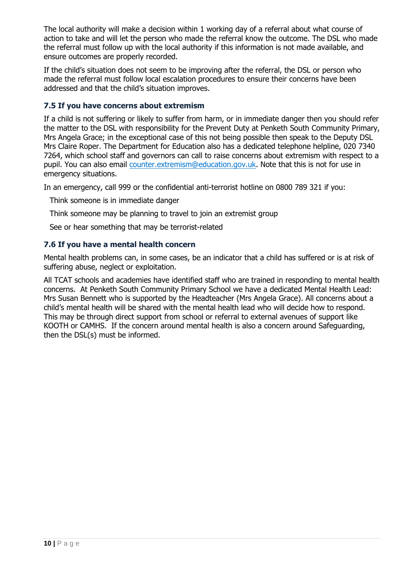The local authority will make a decision within 1 working day of a referral about what course of action to take and will let the person who made the referral know the outcome. The DSL who made the referral must follow up with the local authority if this information is not made available, and ensure outcomes are properly recorded.

If the child's situation does not seem to be improving after the referral, the DSL or person who made the referral must follow local escalation procedures to ensure their concerns have been addressed and that the child's situation improves.

# **7.5 If you have concerns about extremism**

If a child is not suffering or likely to suffer from harm, or in immediate danger then you should refer the matter to the DSL with responsibility for the Prevent Duty at Penketh South Community Primary, Mrs Angela Grace; in the exceptional case of this not being possible then speak to the Deputy DSL Mrs Claire Roper. The Department for Education also has a dedicated telephone helpline, 020 7340 7264, which school staff and governors can call to raise concerns about extremism with respect to a pupil. You can also email [counter.extremism@education.gov.uk.](mailto:counter.extremism@education.gov.uk) Note that this is not for use in emergency situations.

In an emergency, call 999 or the confidential anti-terrorist hotline on 0800 789 321 if you:

Think someone is in immediate danger

Think someone may be planning to travel to join an extremist group

See or hear something that may be terrorist-related

## **7.6 If you have a mental health concern**

Mental health problems can, in some cases, be an indicator that a child has suffered or is at risk of suffering abuse, neglect or exploitation.

All TCAT schools and academies have identified staff who are trained in responding to mental health concerns. At Penketh South Community Primary School we have a dedicated Mental Health Lead: Mrs Susan Bennett who is supported by the Headteacher (Mrs Angela Grace). All concerns about a child's mental health will be shared with the mental health lead who will decide how to respond. This may be through direct support from school or referral to external avenues of support like KOOTH or CAMHS. If the concern around mental health is also a concern around Safeguarding, then the DSL(s) must be informed.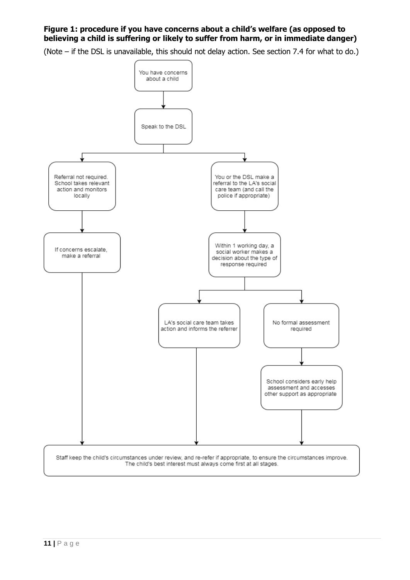# **Figure 1: procedure if you have concerns about a child's welfare (as opposed to believing a child is suffering or likely to suffer from harm, or in immediate danger)**

(Note – if the DSL is unavailable, this should not delay action. See section 7.4 for what to do.)

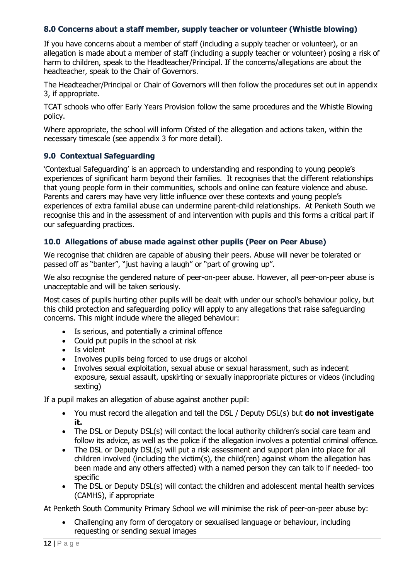#### **8.0 Concerns about a staff member, supply teacher or volunteer (Whistle blowing)**

If you have concerns about a member of staff (including a supply teacher or volunteer), or an allegation is made about a member of staff (including a supply teacher or volunteer) posing a risk of harm to children, speak to the Headteacher/Principal. If the concerns/allegations are about the headteacher, speak to the Chair of Governors.

The Headteacher/Principal or Chair of Governors will then follow the procedures set out in appendix 3, if appropriate.

TCAT schools who offer Early Years Provision follow the same procedures and the Whistle Blowing policy.

Where appropriate, the school will inform Ofsted of the allegation and actions taken, within the necessary timescale (see appendix 3 for more detail).

#### **9.0 Contextual Safeguarding**

'Contextual Safeguarding' is an approach to understanding and responding to young people's experiences of significant harm beyond their families. It recognises that the different relationships that young people form in their communities, schools and online can feature violence and abuse. Parents and carers may have very little influence over these contexts and young people's experiences of extra familial abuse can undermine parent-child relationships. At Penketh South we recognise this and in the assessment of and intervention with pupils and this forms a critical part if our safeguarding practices.

#### **10.0 Allegations of abuse made against other pupils (Peer on Peer Abuse)**

We recognise that children are capable of abusing their peers. Abuse will never be tolerated or passed off as "banter", "just having a laugh" or "part of growing up".

We also recognise the gendered nature of peer-on-peer abuse. However, all peer-on-peer abuse is unacceptable and will be taken seriously.

Most cases of pupils hurting other pupils will be dealt with under our school's behaviour policy, but this child protection and safeguarding policy will apply to any allegations that raise safeguarding concerns. This might include where the alleged behaviour:

- Is serious, and potentially a criminal offence
- Could put pupils in the school at risk
- Is violent
- Involves pupils being forced to use drugs or alcohol
- Involves sexual exploitation, sexual abuse or sexual harassment, such as indecent exposure, sexual assault, upskirting or sexually inappropriate pictures or videos (including sexting)

If a pupil makes an allegation of abuse against another pupil:

- You must record the allegation and tell the DSL / Deputy DSL(s) but **do not investigate it.**
- The DSL or Deputy DSL(s) will contact the local authority children's social care team and follow its advice, as well as the police if the allegation involves a potential criminal offence.
- The DSL or Deputy DSL(s) will put a risk assessment and support plan into place for all children involved (including the victim(s), the child(ren) against whom the allegation has been made and any others affected) with a named person they can talk to if needed- too specific
- The DSL or Deputy DSL(s) will contact the children and adolescent mental health services (CAMHS), if appropriate

At Penketh South Community Primary School we will minimise the risk of peer-on-peer abuse by:

• Challenging any form of derogatory or sexualised language or behaviour, including requesting or sending sexual images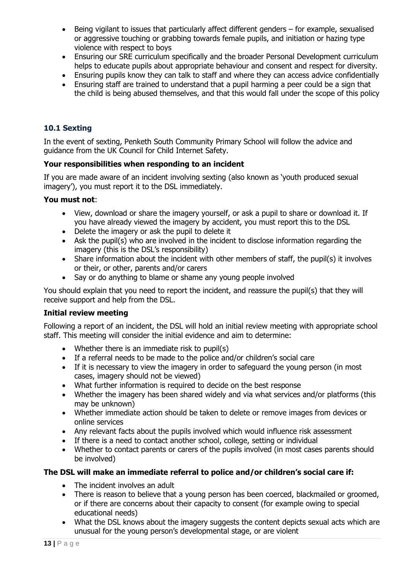- Being vigilant to issues that particularly affect different genders for example, sexualised or aggressive touching or grabbing towards female pupils, and initiation or hazing type violence with respect to boys
- Ensuring our SRE curriculum specifically and the broader Personal Development curriculum helps to educate pupils about appropriate behaviour and consent and respect for diversity.
- Ensuring pupils know they can talk to staff and where they can access advice confidentially
- Ensuring staff are trained to understand that a pupil harming a peer could be a sign that the child is being abused themselves, and that this would fall under the scope of this policy

# **10.1 Sexting**

In the event of sexting, Penketh South Community Primary School will follow the advice and guidance from the UK Council for Child Internet Safety.

#### **Your responsibilities when responding to an incident**

If you are made aware of an incident involving sexting (also known as 'youth produced sexual imagery'), you must report it to the DSL immediately.

#### **You must not**:

- View, download or share the imagery yourself, or ask a pupil to share or download it. If you have already viewed the imagery by accident, you must report this to the DSL
- Delete the imagery or ask the pupil to delete it
- Ask the pupil(s) who are involved in the incident to disclose information regarding the imagery (this is the DSL's responsibility)
- Share information about the incident with other members of staff, the pupil(s) it involves or their, or other, parents and/or carers
- Say or do anything to blame or shame any young people involved

You should explain that you need to report the incident, and reassure the pupil(s) that they will receive support and help from the DSL.

#### **Initial review meeting**

Following a report of an incident, the DSL will hold an initial review meeting with appropriate school staff. This meeting will consider the initial evidence and aim to determine:

- Whether there is an immediate risk to pupil(s)
- If a referral needs to be made to the police and/or children's social care
- If it is necessary to view the imagery in order to safeguard the young person (in most cases, imagery should not be viewed)
- What further information is required to decide on the best response
- Whether the imagery has been shared widely and via what services and/or platforms (this may be unknown)
- Whether immediate action should be taken to delete or remove images from devices or online services
- Any relevant facts about the pupils involved which would influence risk assessment
- If there is a need to contact another school, college, setting or individual
- Whether to contact parents or carers of the pupils involved (in most cases parents should be involved)

#### **The DSL will make an immediate referral to police and/or children's social care if:**

- The incident involves an adult
- There is reason to believe that a young person has been coerced, blackmailed or groomed, or if there are concerns about their capacity to consent (for example owing to special educational needs)
- What the DSL knows about the imagery suggests the content depicts sexual acts which are unusual for the young person's developmental stage, or are violent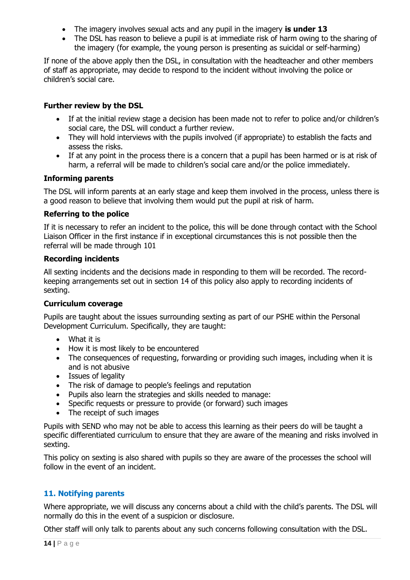- The imagery involves sexual acts and any pupil in the imagery **is under 13**
- The DSL has reason to believe a pupil is at immediate risk of harm owing to the sharing of the imagery (for example, the young person is presenting as suicidal or self-harming)

If none of the above apply then the DSL, in consultation with the headteacher and other members of staff as appropriate, may decide to respond to the incident without involving the police or children's social care.

# **Further review by the DSL**

- If at the initial review stage a decision has been made not to refer to police and/or children's social care, the DSL will conduct a further review.
- They will hold interviews with the pupils involved (if appropriate) to establish the facts and assess the risks.
- If at any point in the process there is a concern that a pupil has been harmed or is at risk of harm, a referral will be made to children's social care and/or the police immediately.

## **Informing parents**

The DSL will inform parents at an early stage and keep them involved in the process, unless there is a good reason to believe that involving them would put the pupil at risk of harm.

## **Referring to the police**

If it is necessary to refer an incident to the police, this will be done through contact with the School Liaison Officer in the first instance if in exceptional circumstances this is not possible then the referral will be made through 101

## **Recording incidents**

All sexting incidents and the decisions made in responding to them will be recorded. The recordkeeping arrangements set out in section 14 of this policy also apply to recording incidents of sexting.

## **Curriculum coverage**

Pupils are taught about the issues surrounding sexting as part of our PSHE within the Personal Development Curriculum. Specifically, they are taught:

- What it is
- How it is most likely to be encountered
- The consequences of requesting, forwarding or providing such images, including when it is and is not abusive
- Issues of legality
- The risk of damage to people's feelings and reputation
- Pupils also learn the strategies and skills needed to manage:
- Specific requests or pressure to provide (or forward) such images
- The receipt of such images

Pupils with SEND who may not be able to access this learning as their peers do will be taught a specific differentiated curriculum to ensure that they are aware of the meaning and risks involved in sexting.

This policy on sexting is also shared with pupils so they are aware of the processes the school will follow in the event of an incident.

## **11. Notifying parents**

Where appropriate, we will discuss any concerns about a child with the child's parents. The DSL will normally do this in the event of a suspicion or disclosure.

Other staff will only talk to parents about any such concerns following consultation with the DSL.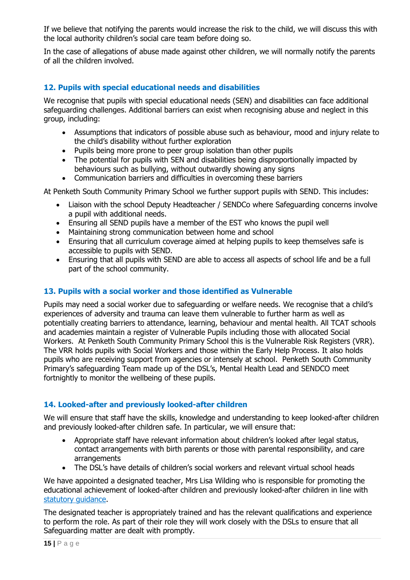If we believe that notifying the parents would increase the risk to the child, we will discuss this with the local authority children's social care team before doing so.

In the case of allegations of abuse made against other children, we will normally notify the parents of all the children involved.

# **12. Pupils with special educational needs and disabilities**

We recognise that pupils with special educational needs (SEN) and disabilities can face additional safeguarding challenges. Additional barriers can exist when recognising abuse and neglect in this group, including:

- Assumptions that indicators of possible abuse such as behaviour, mood and injury relate to the child's disability without further exploration
- Pupils being more prone to peer group isolation than other pupils
- The potential for pupils with SEN and disabilities being disproportionally impacted by behaviours such as bullying, without outwardly showing any signs
- Communication barriers and difficulties in overcoming these barriers

At Penketh South Community Primary School we further support pupils with SEND. This includes:

- Liaison with the school Deputy Headteacher / SENDCo where Safeguarding concerns involve a pupil with additional needs.
- Ensuring all SEND pupils have a member of the EST who knows the pupil well
- Maintaining strong communication between home and school
- Ensuring that all curriculum coverage aimed at helping pupils to keep themselves safe is accessible to pupils with SEND.
- Ensuring that all pupils with SEND are able to access all aspects of school life and be a full part of the school community.

# **13. Pupils with a social worker and those identified as Vulnerable**

Pupils may need a social worker due to safeguarding or welfare needs. We recognise that a child's experiences of adversity and trauma can leave them vulnerable to further harm as well as potentially creating barriers to attendance, learning, behaviour and mental health. All TCAT schools and academies maintain a register of Vulnerable Pupils including those with allocated Social Workers. At Penketh South Community Primary School this is the Vulnerable Risk Registers (VRR). The VRR holds pupils with Social Workers and those within the Early Help Process. It also holds pupils who are receiving support from agencies or intensely at school. Penketh South Community Primary's safeguarding Team made up of the DSL's, Mental Health Lead and SENDCO meet fortnightly to monitor the wellbeing of these pupils.

## **14. Looked-after and previously looked-after children**

We will ensure that staff have the skills, knowledge and understanding to keep looked-after children and previously looked-after children safe. In particular, we will ensure that:

- Appropriate staff have relevant information about children's looked after legal status, contact arrangements with birth parents or those with parental responsibility, and care arrangements
- The DSL's have details of children's social workers and relevant virtual school heads

We have appointed a designated teacher, Mrs Lisa Wilding who is responsible for promoting the educational achievement of looked-after children and previously looked-after children in line with statutory quidance.

The designated teacher is appropriately trained and has the relevant qualifications and experience to perform the role. As part of their role they will work closely with the DSLs to ensure that all Safeguarding matter are dealt with promptly.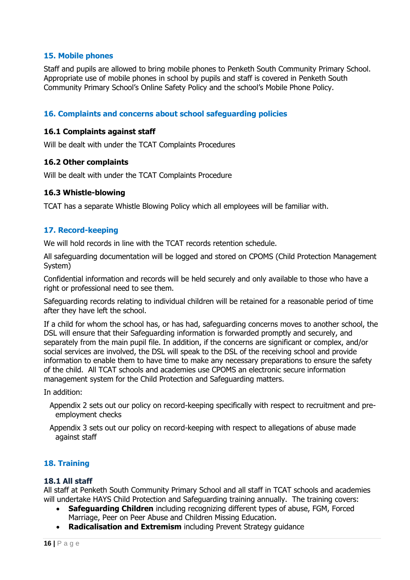#### **15. Mobile phones**

Staff and pupils are allowed to bring mobile phones to Penketh South Community Primary School. Appropriate use of mobile phones in school by pupils and staff is covered in Penketh South Community Primary School's Online Safety Policy and the school's Mobile Phone Policy.

## **16. Complaints and concerns about school safeguarding policies**

#### **16.1 Complaints against staff**

Will be dealt with under the TCAT Complaints Procedures

#### **16.2 Other complaints**

Will be dealt with under the TCAT Complaints Procedure

#### **16.3 Whistle-blowing**

TCAT has a separate Whistle Blowing Policy which all employees will be familiar with.

#### **17. Record-keeping**

We will hold records in line with the TCAT records retention schedule.

All safeguarding documentation will be logged and stored on CPOMS (Child Protection Management System)

Confidential information and records will be held securely and only available to those who have a right or professional need to see them.

Safeguarding records relating to individual children will be retained for a reasonable period of time after they have left the school.

If a child for whom the school has, or has had, safeguarding concerns moves to another school, the DSL will ensure that their Safeguarding information is forwarded promptly and securely, and separately from the main pupil file. In addition, if the concerns are significant or complex, and/or social services are involved, the DSL will speak to the DSL of the receiving school and provide information to enable them to have time to make any necessary preparations to ensure the safety of the child. All TCAT schools and academies use CPOMS an electronic secure information management system for the Child Protection and Safeguarding matters.

In addition:

- Appendix 2 sets out our policy on record-keeping specifically with respect to recruitment and preemployment checks
- Appendix 3 sets out our policy on record-keeping with respect to allegations of abuse made against staff

## **18. Training**

#### **18.1 All staff**

All staff at Penketh South Community Primary School and all staff in TCAT schools and academies will undertake HAYS Child Protection and Safeguarding training annually. The training covers:

- **Safeguarding Children** including recognizing different types of abuse, FGM, Forced Marriage, Peer on Peer Abuse and Children Missing Education.
- **Radicalisation and Extremism** including Prevent Strategy guidance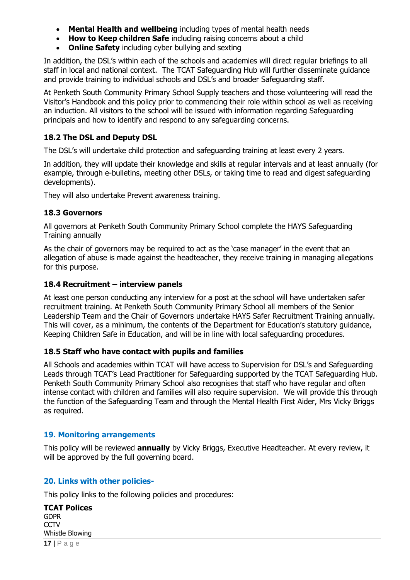- **Mental Health and wellbeing** including types of mental health needs
- **How to Keep children Safe** including raising concerns about a child
- **Online Safety** including cyber bullying and sexting

In addition, the DSL's within each of the schools and academies will direct regular briefings to all staff in local and national context. The TCAT Safeguarding Hub will further disseminate guidance and provide training to individual schools and DSL's and broader Safeguarding staff.

At Penketh South Community Primary School Supply teachers and those volunteering will read the Visitor's Handbook and this policy prior to commencing their role within school as well as receiving an induction. All visitors to the school will be issued with information regarding Safeguarding principals and how to identify and respond to any safeguarding concerns.

# **18.2 The DSL and Deputy DSL**

The DSL's will undertake child protection and safeguarding training at least every 2 years.

In addition, they will update their knowledge and skills at regular intervals and at least annually (for example, through e-bulletins, meeting other DSLs, or taking time to read and digest safeguarding developments).

They will also undertake Prevent awareness training.

## **18.3 Governors**

All governors at Penketh South Community Primary School complete the HAYS Safeguarding Training annually

As the chair of governors may be required to act as the 'case manager' in the event that an allegation of abuse is made against the headteacher, they receive training in managing allegations for this purpose.

## **18.4 Recruitment – interview panels**

At least one person conducting any interview for a post at the school will have undertaken safer recruitment training. At Penketh South Community Primary School all members of the Senior Leadership Team and the Chair of Governors undertake HAYS Safer Recruitment Training annually. This will cover, as a minimum, the contents of the Department for Education's statutory guidance, Keeping Children Safe in Education, and will be in line with local safeguarding procedures.

## **18.5 Staff who have contact with pupils and families**

All Schools and academies within TCAT will have access to Supervision for DSL's and Safeguarding Leads through TCAT's Lead Practitioner for Safeguarding supported by the TCAT Safeguarding Hub. Penketh South Community Primary School also recognises that staff who have regular and often intense contact with children and families will also require supervision. We will provide this through the function of the Safeguarding Team and through the Mental Health First Aider, Mrs Vicky Briggs as required.

## **19. Monitoring arrangements**

This policy will be reviewed **annually** by Vicky Briggs, Executive Headteacher. At every review, it will be approved by the full governing board.

## **20. Links with other policies-**

This policy links to the following policies and procedures:

**TCAT Polices GDPR CCTV** Whistle Blowing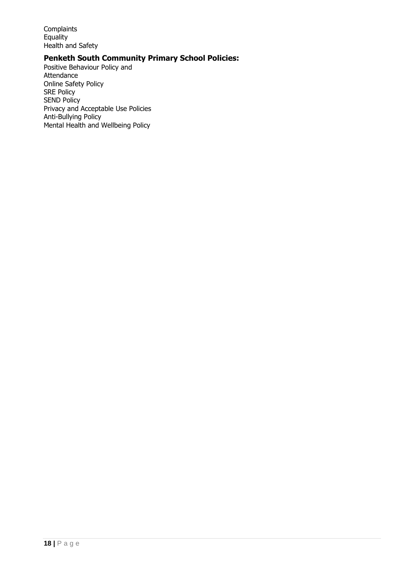Complaints **Equality** Health and Safety

# **Penketh South Community Primary School Policies:**

Positive Behaviour Policy and Attendance Online Safety Policy SRE Policy SEND Policy Privacy and Acceptable Use Policies Anti-Bullying Policy Mental Health and Wellbeing Policy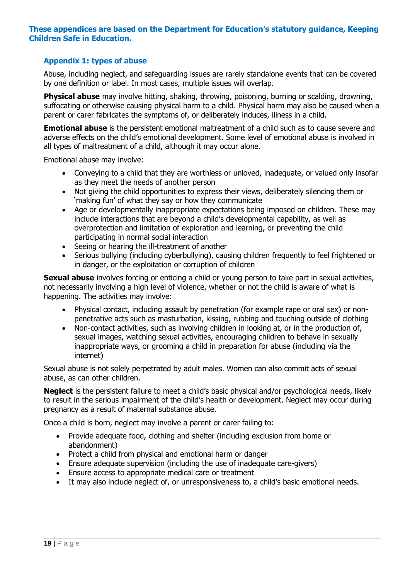#### **These appendices are based on the Department for Education's statutory guidance, Keeping Children Safe in Education.**

#### **Appendix 1: types of abuse**

Abuse, including neglect, and safeguarding issues are rarely standalone events that can be covered by one definition or label. In most cases, multiple issues will overlap.

**Physical abuse** may involve hitting, shaking, throwing, poisoning, burning or scalding, drowning, suffocating or otherwise causing physical harm to a child. Physical harm may also be caused when a parent or carer fabricates the symptoms of, or deliberately induces, illness in a child.

**Emotional abuse** is the persistent emotional maltreatment of a child such as to cause severe and adverse effects on the child's emotional development. Some level of emotional abuse is involved in all types of maltreatment of a child, although it may occur alone.

Emotional abuse may involve:

- Conveying to a child that they are worthless or unloved, inadequate, or valued only insofar as they meet the needs of another person
- Not giving the child opportunities to express their views, deliberately silencing them or 'making fun' of what they say or how they communicate
- Age or developmentally inappropriate expectations being imposed on children. These may include interactions that are beyond a child's developmental capability, as well as overprotection and limitation of exploration and learning, or preventing the child participating in normal social interaction
- Seeing or hearing the ill-treatment of another
- Serious bullying (including cyberbullying), causing children frequently to feel frightened or in danger, or the exploitation or corruption of children

**Sexual abuse** involves forcing or enticing a child or young person to take part in sexual activities, not necessarily involving a high level of violence, whether or not the child is aware of what is happening. The activities may involve:

- Physical contact, including assault by penetration (for example rape or oral sex) or nonpenetrative acts such as masturbation, kissing, rubbing and touching outside of clothing
- Non-contact activities, such as involving children in looking at, or in the production of, sexual images, watching sexual activities, encouraging children to behave in sexually inappropriate ways, or grooming a child in preparation for abuse (including via the internet)

Sexual abuse is not solely perpetrated by adult males. Women can also commit acts of sexual abuse, as can other children.

**Neglect** is the persistent failure to meet a child's basic physical and/or psychological needs, likely to result in the serious impairment of the child's health or development. Neglect may occur during pregnancy as a result of maternal substance abuse.

Once a child is born, neglect may involve a parent or carer failing to:

- Provide adequate food, clothing and shelter (including exclusion from home or abandonment)
- Protect a child from physical and emotional harm or danger
- Ensure adequate supervision (including the use of inadequate care-givers)
- Ensure access to appropriate medical care or treatment
- It may also include neglect of, or unresponsiveness to, a child's basic emotional needs.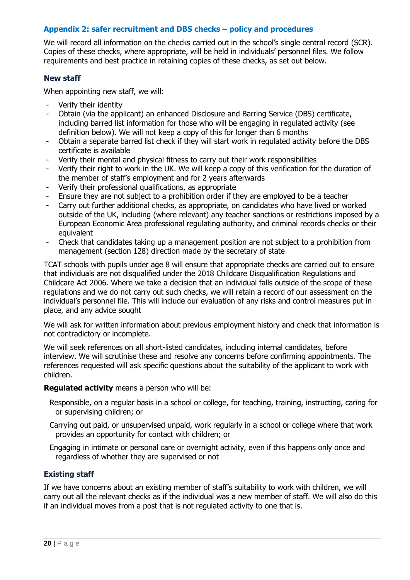# **Appendix 2: safer recruitment and DBS checks – policy and procedures**

We will record all information on the checks carried out in the school's single central record (SCR). Copies of these checks, where appropriate, will be held in individuals' personnel files. We follow requirements and best practice in retaining copies of these checks, as set out below.

#### **New staff**

When appointing new staff, we will:

- Verify their identity
- Obtain (via the applicant) an enhanced Disclosure and Barring Service (DBS) certificate, including barred list information for those who will be engaging in regulated activity (see definition below). We will not keep a copy of this for longer than 6 months
- Obtain a separate barred list check if they will start work in regulated activity before the DBS certificate is available
- Verify their mental and physical fitness to carry out their work responsibilities
- Verify their right to work in the UK. We will keep a copy of this verification for the duration of the member of staff's employment and for 2 years afterwards
- Verify their professional qualifications, as appropriate
- Ensure they are not subject to a prohibition order if they are employed to be a teacher
- Carry out further additional checks, as appropriate, on candidates who have lived or worked outside of the UK, including (where relevant) any teacher sanctions or restrictions imposed by a European Economic Area professional regulating authority, and criminal records checks or their equivalent
- Check that candidates taking up a management position are not subject to a prohibition from management (section 128) direction made by the secretary of state

TCAT schools with pupils under age 8 will ensure that appropriate checks are carried out to ensure that individuals are not disqualified under the 2018 Childcare Disqualification Regulations and Childcare Act 2006. Where we take a decision that an individual falls outside of the scope of these regulations and we do not carry out such checks, we will retain a record of our assessment on the individual's personnel file. This will include our evaluation of any risks and control measures put in place, and any advice sought

We will ask for written information about previous employment history and check that information is not contradictory or incomplete.

We will seek references on all short-listed candidates, including internal candidates, before interview. We will scrutinise these and resolve any concerns before confirming appointments. The references requested will ask specific questions about the suitability of the applicant to work with children.

#### **Regulated activity** means a person who will be:

- Responsible, on a regular basis in a school or college, for teaching, training, instructing, caring for or supervising children; or
- Carrying out paid, or unsupervised unpaid, work regularly in a school or college where that work provides an opportunity for contact with children; or
- Engaging in intimate or personal care or overnight activity, even if this happens only once and regardless of whether they are supervised or not

## **Existing staff**

If we have concerns about an existing member of staff's suitability to work with children, we will carry out all the relevant checks as if the individual was a new member of staff. We will also do this if an individual moves from a post that is not regulated activity to one that is.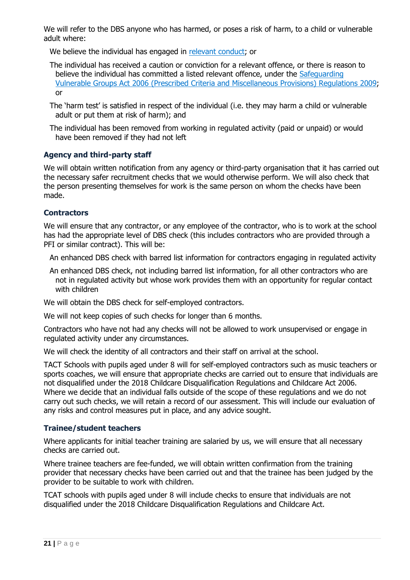We will refer to the DBS anyone who has harmed, or poses a risk of harm, to a child or vulnerable adult where:

We believe the individual has engaged in [relevant conduct;](https://www.gov.uk/guidance/making-barring-referrals-to-the-dbs#relevant-conduct-in-relation-to-children) or

- The individual has received a caution or conviction for a relevant offence, or there is reason to believe the individual has committed a listed relevant offence, under the Safeguarding [Vulnerable Groups Act 2006 \(Prescribed Criteria and Miscellaneous Provisions\) Regulations 2009;](http://www.legislation.gov.uk/uksi/2009/37/contents/made) or
- The 'harm test' is satisfied in respect of the individual (i.e. they may harm a child or vulnerable adult or put them at risk of harm); and
- The individual has been removed from working in regulated activity (paid or unpaid) or would have been removed if they had not left

# **Agency and third-party staff**

We will obtain written notification from any agency or third-party organisation that it has carried out the necessary safer recruitment checks that we would otherwise perform. We will also check that the person presenting themselves for work is the same person on whom the checks have been made.

# **Contractors**

We will ensure that any contractor, or any employee of the contractor, who is to work at the school has had the appropriate level of DBS check (this includes contractors who are provided through a PFI or similar contract). This will be:

An enhanced DBS check with barred list information for contractors engaging in regulated activity

An enhanced DBS check, not including barred list information, for all other contractors who are not in regulated activity but whose work provides them with an opportunity for regular contact with children

We will obtain the DBS check for self-employed contractors.

We will not keep copies of such checks for longer than 6 months.

Contractors who have not had any checks will not be allowed to work unsupervised or engage in regulated activity under any circumstances.

We will check the identity of all contractors and their staff on arrival at the school.

TACT Schools with pupils aged under 8 will for self-employed contractors such as music teachers or sports coaches, we will ensure that appropriate checks are carried out to ensure that individuals are not disqualified under the 2018 Childcare Disqualification Regulations and Childcare Act 2006. Where we decide that an individual falls outside of the scope of these regulations and we do not carry out such checks, we will retain a record of our assessment. This will include our evaluation of any risks and control measures put in place, and any advice sought.

# **Trainee/student teachers**

Where applicants for initial teacher training are salaried by us, we will ensure that all necessary checks are carried out.

Where trainee teachers are fee-funded, we will obtain written confirmation from the training provider that necessary checks have been carried out and that the trainee has been judged by the provider to be suitable to work with children.

TCAT schools with pupils aged under 8 will include checks to ensure that individuals are not disqualified under the 2018 Childcare Disqualification Regulations and Childcare Act.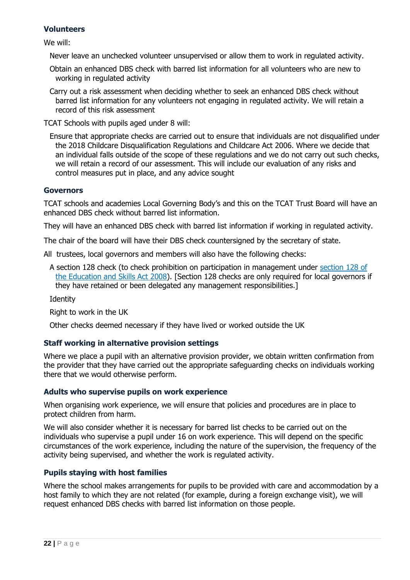#### **Volunteers**

We will:

Never leave an unchecked volunteer unsupervised or allow them to work in regulated activity.

- Obtain an enhanced DBS check with barred list information for all volunteers who are new to working in regulated activity
- Carry out a risk assessment when deciding whether to seek an enhanced DBS check without barred list information for any volunteers not engaging in regulated activity. We will retain a record of this risk assessment

TCAT Schools with pupils aged under 8 will:

Ensure that appropriate checks are carried out to ensure that individuals are not disqualified under the 2018 Childcare Disqualification Regulations and Childcare Act 2006. Where we decide that an individual falls outside of the scope of these regulations and we do not carry out such checks, we will retain a record of our assessment. This will include our evaluation of any risks and control measures put in place, and any advice sought

#### **Governors**

TCAT schools and academies Local Governing Body's and this on the TCAT Trust Board will have an enhanced DBS check without barred list information.

They will have an enhanced DBS check with barred list information if working in regulated activity.

The chair of the board will have their DBS check countersigned by the secretary of state.

All trustees, local governors and members will also have the following checks:

A section 128 check (to check prohibition on participation in management under [section 128 of](https://www.legislation.gov.uk/ukpga/2008/25/section/128)  [the Education and Skills Act 2008\)](https://www.legislation.gov.uk/ukpga/2008/25/section/128). [Section 128 checks are only required for local governors if they have retained or been delegated any management responsibilities.]

**Identity** 

Right to work in the UK

Other checks deemed necessary if they have lived or worked outside the UK

#### **Staff working in alternative provision settings**

Where we place a pupil with an alternative provision provider, we obtain written confirmation from the provider that they have carried out the appropriate safeguarding checks on individuals working there that we would otherwise perform.

#### **Adults who supervise pupils on work experience**

When organising work experience, we will ensure that policies and procedures are in place to protect children from harm.

We will also consider whether it is necessary for barred list checks to be carried out on the individuals who supervise a pupil under 16 on work experience. This will depend on the specific circumstances of the work experience, including the nature of the supervision, the frequency of the activity being supervised, and whether the work is regulated activity.

#### **Pupils staying with host families**

Where the school makes arrangements for pupils to be provided with care and accommodation by a host family to which they are not related (for example, during a foreign exchange visit), we will request enhanced DBS checks with barred list information on those people.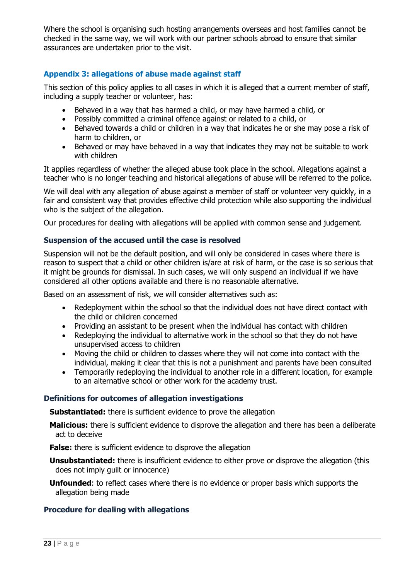Where the school is organising such hosting arrangements overseas and host families cannot be checked in the same way, we will work with our partner schools abroad to ensure that similar assurances are undertaken prior to the visit.

# **Appendix 3: allegations of abuse made against staff**

This section of this policy applies to all cases in which it is alleged that a current member of staff, including a supply teacher or volunteer, has:

- Behaved in a way that has harmed a child, or may have harmed a child, or
- Possibly committed a criminal offence against or related to a child, or
- Behaved towards a child or children in a way that indicates he or she may pose a risk of harm to children, or
- Behaved or may have behaved in a way that indicates they may not be suitable to work with children

It applies regardless of whether the alleged abuse took place in the school. Allegations against a teacher who is no longer teaching and historical allegations of abuse will be referred to the police.

We will deal with any allegation of abuse against a member of staff or volunteer very quickly, in a fair and consistent way that provides effective child protection while also supporting the individual who is the subject of the allegation.

Our procedures for dealing with allegations will be applied with common sense and judgement.

#### **Suspension of the accused until the case is resolved**

Suspension will not be the default position, and will only be considered in cases where there is reason to suspect that a child or other children is/are at risk of harm, or the case is so serious that it might be grounds for dismissal. In such cases, we will only suspend an individual if we have considered all other options available and there is no reasonable alternative.

Based on an assessment of risk, we will consider alternatives such as:

- Redeployment within the school so that the individual does not have direct contact with the child or children concerned
- Providing an assistant to be present when the individual has contact with children
- Redeploying the individual to alternative work in the school so that they do not have unsupervised access to children
- Moving the child or children to classes where they will not come into contact with the individual, making it clear that this is not a punishment and parents have been consulted
- Temporarily redeploying the individual to another role in a different location, for example to an alternative school or other work for the academy trust.

#### **Definitions for outcomes of allegation investigations**

**Substantiated:** there is sufficient evidence to prove the allegation

**Malicious:** there is sufficient evidence to disprove the allegation and there has been a deliberate act to deceive

**False:** there is sufficient evidence to disprove the allegation

- **Unsubstantiated:** there is insufficient evidence to either prove or disprove the allegation (this does not imply guilt or innocence)
- **Unfounded**: to reflect cases where there is no evidence or proper basis which supports the allegation being made

#### **Procedure for dealing with allegations**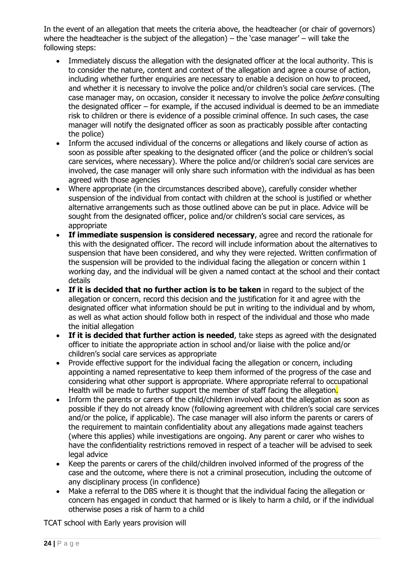In the event of an allegation that meets the criteria above, the headteacher (or chair of governors) where the headteacher is the subject of the allegation) – the 'case manager' – will take the following steps:

- Immediately discuss the allegation with the designated officer at the local authority. This is to consider the nature, content and context of the allegation and agree a course of action, including whether further enquiries are necessary to enable a decision on how to proceed, and whether it is necessary to involve the police and/or children's social care services. (The case manager may, on occasion, consider it necessary to involve the police *before* consulting the designated officer – for example, if the accused individual is deemed to be an immediate risk to children or there is evidence of a possible criminal offence. In such cases, the case manager will notify the designated officer as soon as practicably possible after contacting the police)
- Inform the accused individual of the concerns or allegations and likely course of action as soon as possible after speaking to the designated officer (and the police or children's social care services, where necessary). Where the police and/or children's social care services are involved, the case manager will only share such information with the individual as has been agreed with those agencies
- Where appropriate (in the circumstances described above), carefully consider whether suspension of the individual from contact with children at the school is justified or whether alternative arrangements such as those outlined above can be put in place. Advice will be sought from the designated officer, police and/or children's social care services, as appropriate
- **If immediate suspension is considered necessary**, agree and record the rationale for this with the designated officer. The record will include information about the alternatives to suspension that have been considered, and why they were rejected. Written confirmation of the suspension will be provided to the individual facing the allegation or concern within 1 working day, and the individual will be given a named contact at the school and their contact details
- **If it is decided that no further action is to be taken** in regard to the subject of the allegation or concern, record this decision and the justification for it and agree with the designated officer what information should be put in writing to the individual and by whom, as well as what action should follow both in respect of the individual and those who made the initial allegation
- **If it is decided that further action is needed**, take steps as agreed with the designated officer to initiate the appropriate action in school and/or liaise with the police and/or children's social care services as appropriate
- Provide effective support for the individual facing the allegation or concern, including appointing a named representative to keep them informed of the progress of the case and considering what other support is appropriate. Where appropriate referral to occupational Health will be made to further support the member of staff facing the allegation.
- Inform the parents or carers of the child/children involved about the allegation as soon as possible if they do not already know (following agreement with children's social care services and/or the police, if applicable). The case manager will also inform the parents or carers of the requirement to maintain confidentiality about any allegations made against teachers (where this applies) while investigations are ongoing. Any parent or carer who wishes to have the confidentiality restrictions removed in respect of a teacher will be advised to seek legal advice
- Keep the parents or carers of the child/children involved informed of the progress of the case and the outcome, where there is not a criminal prosecution, including the outcome of any disciplinary process (in confidence)
- Make a referral to the DBS where it is thought that the individual facing the allegation or concern has engaged in conduct that harmed or is likely to harm a child, or if the individual otherwise poses a risk of harm to a child

TCAT school with Early years provision will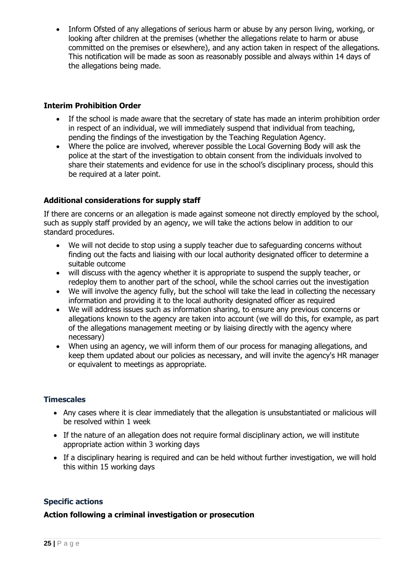• Inform Ofsted of any allegations of serious harm or abuse by any person living, working, or looking after children at the premises (whether the allegations relate to harm or abuse committed on the premises or elsewhere), and any action taken in respect of the allegations. This notification will be made as soon as reasonably possible and always within 14 days of the allegations being made.

## **Interim Prohibition Order**

- If the school is made aware that the secretary of state has made an interim prohibition order in respect of an individual, we will immediately suspend that individual from teaching, pending the findings of the investigation by the Teaching Regulation Agency.
- Where the police are involved, wherever possible the Local Governing Body will ask the police at the start of the investigation to obtain consent from the individuals involved to share their statements and evidence for use in the school's disciplinary process, should this be required at a later point.

#### **Additional considerations for supply staff**

If there are concerns or an allegation is made against someone not directly employed by the school, such as supply staff provided by an agency, we will take the actions below in addition to our standard procedures.

- We will not decide to stop using a supply teacher due to safeguarding concerns without finding out the facts and liaising with our local authority designated officer to determine a suitable outcome
- will discuss with the agency whether it is appropriate to suspend the supply teacher, or redeploy them to another part of the school, while the school carries out the investigation
- We will involve the agency fully, but the school will take the lead in collecting the necessary information and providing it to the local authority designated officer as required
- We will address issues such as information sharing, to ensure any previous concerns or allegations known to the agency are taken into account (we will do this, for example, as part of the allegations management meeting or by liaising directly with the agency where necessary)
- When using an agency, we will inform them of our process for managing allegations, and keep them updated about our policies as necessary, and will invite the agency's HR manager or equivalent to meetings as appropriate.

#### **Timescales**

- Any cases where it is clear immediately that the allegation is unsubstantiated or malicious will be resolved within 1 week
- If the nature of an allegation does not require formal disciplinary action, we will institute appropriate action within 3 working days
- If a disciplinary hearing is required and can be held without further investigation, we will hold this within 15 working days

#### **Specific actions**

#### **Action following a criminal investigation or prosecution**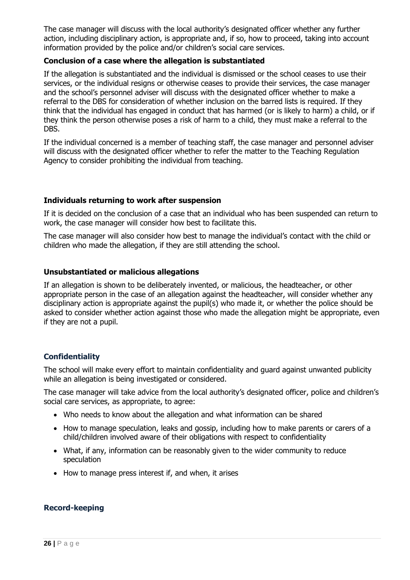The case manager will discuss with the local authority's designated officer whether any further action, including disciplinary action, is appropriate and, if so, how to proceed, taking into account information provided by the police and/or children's social care services.

#### **Conclusion of a case where the allegation is substantiated**

If the allegation is substantiated and the individual is dismissed or the school ceases to use their services, or the individual resigns or otherwise ceases to provide their services, the case manager and the school's personnel adviser will discuss with the designated officer whether to make a referral to the DBS for consideration of whether inclusion on the barred lists is required. If they think that the individual has engaged in conduct that has harmed (or is likely to harm) a child, or if they think the person otherwise poses a risk of harm to a child, they must make a referral to the DBS.

If the individual concerned is a member of teaching staff, the case manager and personnel adviser will discuss with the designated officer whether to refer the matter to the Teaching Regulation Agency to consider prohibiting the individual from teaching.

#### **Individuals returning to work after suspension**

If it is decided on the conclusion of a case that an individual who has been suspended can return to work, the case manager will consider how best to facilitate this.

The case manager will also consider how best to manage the individual's contact with the child or children who made the allegation, if they are still attending the school.

#### **Unsubstantiated or malicious allegations**

If an allegation is shown to be deliberately invented, or malicious, the headteacher, or other appropriate person in the case of an allegation against the headteacher, will consider whether any disciplinary action is appropriate against the pupil(s) who made it, or whether the police should be asked to consider whether action against those who made the allegation might be appropriate, even if they are not a pupil.

## **Confidentiality**

The school will make every effort to maintain confidentiality and guard against unwanted publicity while an allegation is being investigated or considered.

The case manager will take advice from the local authority's designated officer, police and children's social care services, as appropriate, to agree:

- Who needs to know about the allegation and what information can be shared
- How to manage speculation, leaks and gossip, including how to make parents or carers of a child/children involved aware of their obligations with respect to confidentiality
- What, if any, information can be reasonably given to the wider community to reduce speculation
- How to manage press interest if, and when, it arises

#### **Record-keeping**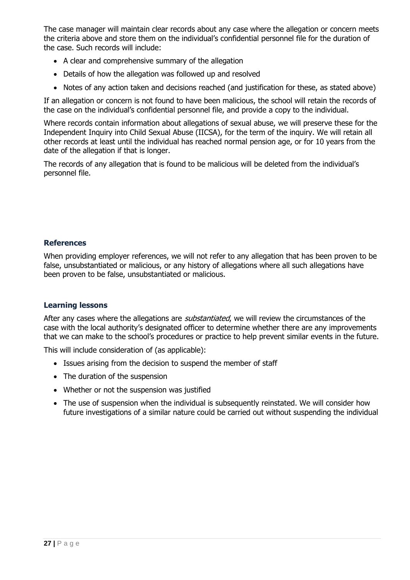The case manager will maintain clear records about any case where the allegation or concern meets the criteria above and store them on the individual's confidential personnel file for the duration of the case. Such records will include:

- A clear and comprehensive summary of the allegation
- Details of how the allegation was followed up and resolved
- Notes of any action taken and decisions reached (and justification for these, as stated above)

If an allegation or concern is not found to have been malicious, the school will retain the records of the case on the individual's confidential personnel file, and provide a copy to the individual.

Where records contain information about allegations of sexual abuse, we will preserve these for the Independent Inquiry into Child Sexual Abuse (IICSA), for the term of the inquiry. We will retain all other records at least until the individual has reached normal pension age, or for 10 years from the date of the allegation if that is longer.

The records of any allegation that is found to be malicious will be deleted from the individual's personnel file.

#### **References**

When providing employer references, we will not refer to any allegation that has been proven to be false, unsubstantiated or malicious, or any history of allegations where all such allegations have been proven to be false, unsubstantiated or malicious.

#### **Learning lessons**

After any cases where the allegations are *substantiated*, we will review the circumstances of the case with the local authority's designated officer to determine whether there are any improvements that we can make to the school's procedures or practice to help prevent similar events in the future.

This will include consideration of (as applicable):

- Issues arising from the decision to suspend the member of staff
- The duration of the suspension
- Whether or not the suspension was justified
- The use of suspension when the individual is subsequently reinstated. We will consider how future investigations of a similar nature could be carried out without suspending the individual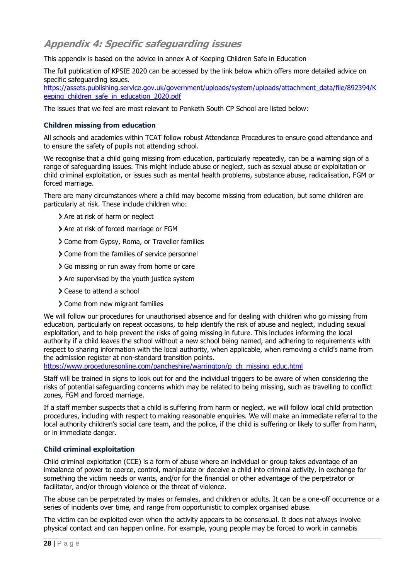# **Appendix 4: Specific safeguarding issues**

This appendix is based on the advice in annex A of Keeping Children Safe in Education

The full publication of KPSIE 2020 can be accessed by the link below which offers more detailed advice on specific safeguarding issues.

[https://assets.publishing.service.gov.uk/government/uploads/system/uploads/attachment\\_data/file/892394/K](https://assets.publishing.service.gov.uk/government/uploads/system/uploads/attachment_data/file/892394/Keeping_children_safe_in_education_2020.pdf) eeping children safe in education 2020.pdf

The issues that we feel are most relevant to Penketh South CP School are listed below:

#### **Children missing from education**

All schools and academies within TCAT follow robust Attendance Procedures to ensure good attendance and to ensure the safety of pupils not attending school.

We recognise that a child going missing from education, particularly repeatedly, can be a warning sign of a range of safeguarding issues. This might include abuse or neglect, such as sexual abuse or exploitation or child criminal exploitation, or issues such as mental health problems, substance abuse, radicalisation, FGM or forced marriage.

There are many circumstances where a child may become missing from education, but some children are particularly at risk. These include children who:

- > Are at risk of harm or neglect
- > Are at risk of forced marriage or FGM
- Come from Gypsy, Roma, or Traveller families
- > Come from the families of service personnel
- Go missing or run away from home or care
- Are supervised by the youth justice system
- > Cease to attend a school
- Come from new migrant families

We will follow our procedures for unauthorised absence and for dealing with children who go missing from education, particularly on repeat occasions, to help identify the risk of abuse and neglect, including sexual exploitation, and to help prevent the risks of going missing in future. This includes informing the local authority if a child leaves the school without a new school being named, and adhering to requirements with respect to sharing information with the local authority, when applicable, when removing a child's name from the admission register at non-standard transition points.

[https://www.proceduresonline.com/pancheshire/warrington/p\\_ch\\_missing\\_educ.html](https://www.proceduresonline.com/pancheshire/warrington/p_ch_missing_educ.html)

Staff will be trained in signs to look out for and the individual triggers to be aware of when considering the risks of potential safeguarding concerns which may be related to being missing, such as travelling to conflict zones, FGM and forced marriage.

If a staff member suspects that a child is suffering from harm or neglect, we will follow local child protection procedures, including with respect to making reasonable enquiries. We will make an immediate referral to the local authority children's social care team, and the police, if the child is suffering or likely to suffer from harm, or in immediate danger.

#### **Child criminal exploitation**

Child criminal exploitation (CCE) is a form of abuse where an individual or group takes advantage of an imbalance of power to coerce, control, manipulate or deceive a child into criminal activity, in exchange for something the victim needs or wants, and/or for the financial or other advantage of the perpetrator or facilitator, and/or through violence or the threat of violence.

The abuse can be perpetrated by males or females, and children or adults. It can be a one-off occurrence or a series of incidents over time, and range from opportunistic to complex organised abuse.

The victim can be exploited even when the activity appears to be consensual. It does not always involve physical contact and can happen online. For example, young people may be forced to work in cannabis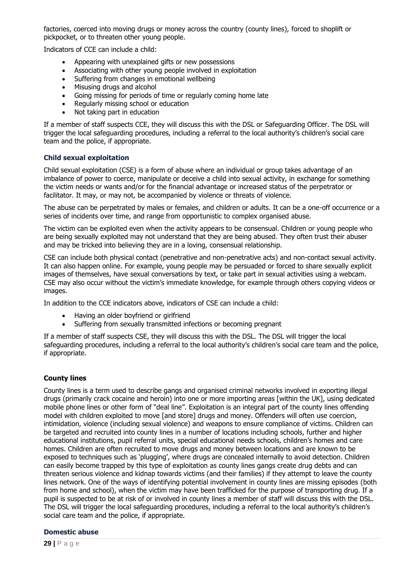factories, coerced into moving drugs or money across the country (county lines), forced to shoplift or pickpocket, or to threaten other young people.

Indicators of CCE can include a child:

- Appearing with unexplained gifts or new possessions
- Associating with other young people involved in exploitation
- Suffering from changes in emotional wellbeing
- Misusing drugs and alcohol
- Going missing for periods of time or regularly coming home late
- Regularly missing school or education
- Not taking part in education

If a member of staff suspects CCE, they will discuss this with the DSL or Safeguarding Officer. The DSL will trigger the local safeguarding procedures, including a referral to the local authority's children's social care team and the police, if appropriate.

#### **Child sexual exploitation**

Child sexual exploitation (CSE) is a form of abuse where an individual or group takes advantage of an imbalance of power to coerce, manipulate or deceive a child into sexual activity, in exchange for something the victim needs or wants and/or for the financial advantage or increased status of the perpetrator or facilitator. It may, or may not, be accompanied by violence or threats of violence.

The abuse can be perpetrated by males or females, and children or adults. It can be a one-off occurrence or a series of incidents over time, and range from opportunistic to complex organised abuse.

The victim can be exploited even when the activity appears to be consensual. Children or young people who are being sexually exploited may not understand that they are being abused. They often trust their abuser and may be tricked into believing they are in a loving, consensual relationship.

CSE can include both physical contact (penetrative and non-penetrative acts) and non-contact sexual activity. It can also happen online. For example, young people may be persuaded or forced to share sexually explicit images of themselves, have sexual conversations by text, or take part in sexual activities using a webcam. CSE may also occur without the victim's immediate knowledge, for example through others copying videos or images.

In addition to the CCE indicators above, indicators of CSE can include a child:

- Having an older boyfriend or girlfriend
- Suffering from sexually transmitted infections or becoming pregnant

If a member of staff suspects CSE, they will discuss this with the DSL. The DSL will trigger the local safeguarding procedures, including a referral to the local authority's children's social care team and the police, if appropriate.

#### **County lines**

County lines is a term used to describe gangs and organised criminal networks involved in exporting illegal drugs (primarily crack cocaine and heroin) into one or more importing areas [within the UK], using dedicated mobile phone lines or other form of "deal line". Exploitation is an integral part of the county lines offending model with children exploited to move [and store] drugs and money. Offenders will often use coercion, intimidation, violence (including sexual violence) and weapons to ensure compliance of victims. Children can be targeted and recruited into county lines in a number of locations including schools, further and higher educational institutions, pupil referral units, special educational needs schools, children's homes and care homes. Children are often recruited to move drugs and money between locations and are known to be exposed to techniques such as 'plugging', where drugs are concealed internally to avoid detection. Children can easily become trapped by this type of exploitation as county lines gangs create drug debts and can threaten serious violence and kidnap towards victims (and their families) if they attempt to leave the county lines network. One of the ways of identifying potential involvement in county lines are missing episodes (both from home and school), when the victim may have been trafficked for the purpose of transporting drug. If a pupil is suspected to be at risk of or involved in county lines a member of staff will discuss this with the DSL. The DSL will trigger the local safeguarding procedures, including a referral to the local authority's children's social care team and the police, if appropriate.

#### **Domestic abuse**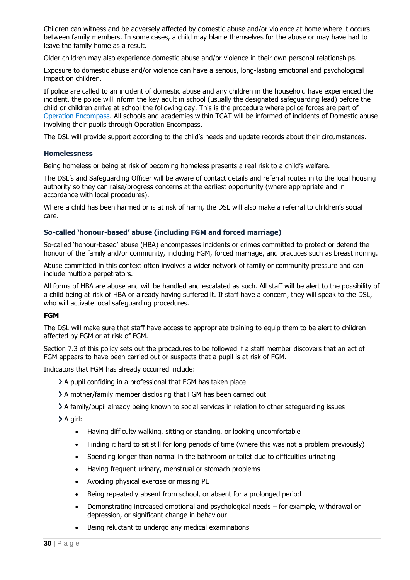Children can witness and be adversely affected by domestic abuse and/or violence at home where it occurs between family members. In some cases, a child may blame themselves for the abuse or may have had to leave the family home as a result.

Older children may also experience domestic abuse and/or violence in their own personal relationships.

Exposure to domestic abuse and/or violence can have a serious, long-lasting emotional and psychological impact on children.

If police are called to an incident of domestic abuse and any children in the household have experienced the incident, the police will inform the key adult in school (usually the designated safeguarding lead) before the child or children arrive at school the following day. This is the procedure where police forces are part of [Operation Encompass.](https://www.operationencompass.org/) All schools and academies within TCAT will be informed of incidents of Domestic abuse involving their pupils through Operation Encompass.

The DSL will provide support according to the child's needs and update records about their circumstances.

#### **Homelessness**

Being homeless or being at risk of becoming homeless presents a real risk to a child's welfare.

The DSL's and Safeguarding Officer will be aware of contact details and referral routes in to the local housing authority so they can raise/progress concerns at the earliest opportunity (where appropriate and in accordance with local procedures).

Where a child has been harmed or is at risk of harm, the DSL will also make a referral to children's social care.

#### **So-called 'honour-based' abuse (including FGM and forced marriage)**

So-called 'honour-based' abuse (HBA) encompasses incidents or crimes committed to protect or defend the honour of the family and/or community, including FGM, forced marriage, and practices such as breast ironing.

Abuse committed in this context often involves a wider network of family or community pressure and can include multiple perpetrators.

All forms of HBA are abuse and will be handled and escalated as such. All staff will be alert to the possibility of a child being at risk of HBA or already having suffered it. If staff have a concern, they will speak to the DSL, who will activate local safeguarding procedures.

#### **FGM**

The DSL will make sure that staff have access to appropriate training to equip them to be alert to children affected by FGM or at risk of FGM.

Section 7.3 of this policy sets out the procedures to be followed if a staff member discovers that an act of FGM appears to have been carried out or suspects that a pupil is at risk of FGM.

Indicators that FGM has already occurred include:

- A pupil confiding in a professional that FGM has taken place
- A mother/family member disclosing that FGM has been carried out
- A family/pupil already being known to social services in relation to other safeguarding issues
- $\geq$  A girl:
	- Having difficulty walking, sitting or standing, or looking uncomfortable
	- Finding it hard to sit still for long periods of time (where this was not a problem previously)
	- Spending longer than normal in the bathroom or toilet due to difficulties urinating
	- Having frequent urinary, menstrual or stomach problems
	- Avoiding physical exercise or missing PE
	- Being repeatedly absent from school, or absent for a prolonged period
	- Demonstrating increased emotional and psychological needs for example, withdrawal or depression, or significant change in behaviour
	- Being reluctant to undergo any medical examinations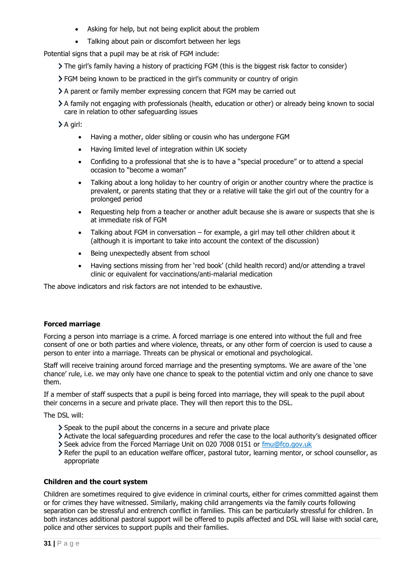- Asking for help, but not being explicit about the problem
- Talking about pain or discomfort between her legs

Potential signs that a pupil may be at risk of FGM include:

- The girl's family having a history of practicing FGM (this is the biggest risk factor to consider)
- FGM being known to be practiced in the girl's community or country of origin
- A parent or family member expressing concern that FGM may be carried out
- A family not engaging with professionals (health, education or other) or already being known to social care in relation to other safeguarding issues

A girl:

- Having a mother, older sibling or cousin who has undergone FGM
- Having limited level of integration within UK society
- Confiding to a professional that she is to have a "special procedure" or to attend a special occasion to "become a woman"
- Talking about a long holiday to her country of origin or another country where the practice is prevalent, or parents stating that they or a relative will take the girl out of the country for a prolonged period
- Requesting help from a teacher or another adult because she is aware or suspects that she is at immediate risk of FGM
- Talking about FGM in conversation for example, a girl may tell other children about it (although it is important to take into account the context of the discussion)
- Being unexpectedly absent from school
- Having sections missing from her 'red book' (child health record) and/or attending a travel clinic or equivalent for vaccinations/anti-malarial medication

The above indicators and risk factors are not intended to be exhaustive.

#### **Forced marriage**

Forcing a person into marriage is a crime. A forced marriage is one entered into without the full and free consent of one or both parties and where violence, threats, or any other form of coercion is used to cause a person to enter into a marriage. Threats can be physical or emotional and psychological.

Staff will receive training around forced marriage and the presenting symptoms. We are aware of the 'one chance' rule, i.e. we may only have one chance to speak to the potential victim and only one chance to save them.

If a member of staff suspects that a pupil is being forced into marriage, they will speak to the pupil about their concerns in a secure and private place. They will then report this to the DSL.

The DSL will:

- Speak to the pupil about the concerns in a secure and private place
- Activate the local safeguarding procedures and refer the case to the local authority's designated officer
- Seek advice from the Forced Marriage Unit on 020 7008 0151 or [fmu@fco.gov.uk](mailto:fmu@fco.gov.uk)
- Refer the pupil to an education welfare officer, pastoral tutor, learning mentor, or school counsellor, as appropriate

#### **Children and the court system**

Children are sometimes required to give evidence in criminal courts, either for crimes committed against them or for crimes they have witnessed. Similarly, making child arrangements via the family courts following separation can be stressful and entrench conflict in families. This can be particularly stressful for children. In both instances additional pastoral support will be offered to pupils affected and DSL will liaise with social care, police and other services to support pupils and their families.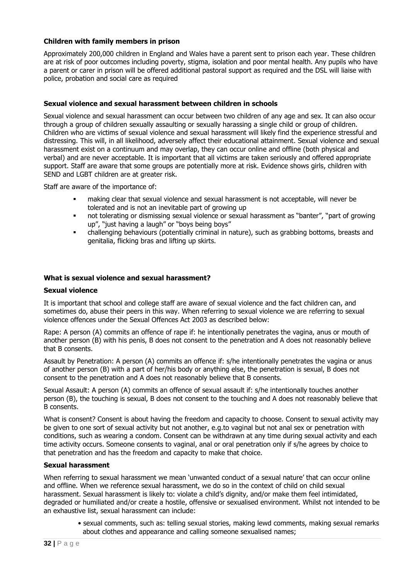#### **Children with family members in prison**

Approximately 200,000 children in England and Wales have a parent sent to prison each year. These children are at risk of poor outcomes including poverty, stigma, isolation and poor mental health. Any pupils who have a parent or carer in prison will be offered additional pastoral support as required and the DSL will liaise with police, probation and social care as required

#### **Sexual violence and sexual harassment between children in schools**

Sexual violence and sexual harassment can occur between two children of any age and sex. It can also occur through a group of children sexually assaulting or sexually harassing a single child or group of children. Children who are victims of sexual violence and sexual harassment will likely find the experience stressful and distressing. This will, in all likelihood, adversely affect their educational attainment. Sexual violence and sexual harassment exist on a continuum and may overlap, they can occur online and offline (both physical and verbal) and are never acceptable. It is important that all victims are taken seriously and offered appropriate support. Staff are aware that some groups are potentially more at risk. Evidence shows girls, children with SEND and LGBT children are at greater risk.

Staff are aware of the importance of:

- making clear that sexual violence and sexual harassment is not acceptable, will never be tolerated and is not an inevitable part of growing up
- not tolerating or dismissing sexual violence or sexual harassment as "banter", "part of growing up", "just having a laugh" or "boys being boys"
- challenging behaviours (potentially criminal in nature), such as grabbing bottoms, breasts and genitalia, flicking bras and lifting up skirts.

#### **What is sexual violence and sexual harassment?**

#### **Sexual violence**

It is important that school and college staff are aware of sexual violence and the fact children can, and sometimes do, abuse their peers in this way. When referring to sexual violence we are referring to sexual violence offences under the Sexual Offences Act 2003 as described below:

Rape: A person (A) commits an offence of rape if: he intentionally penetrates the vagina, anus or mouth of another person (B) with his penis, B does not consent to the penetration and A does not reasonably believe that B consents.

Assault by Penetration: A person (A) commits an offence if: s/he intentionally penetrates the vagina or anus of another person (B) with a part of her/his body or anything else, the penetration is sexual, B does not consent to the penetration and A does not reasonably believe that B consents.

Sexual Assault: A person (A) commits an offence of sexual assault if: s/he intentionally touches another person (B), the touching is sexual, B does not consent to the touching and A does not reasonably believe that B consents.

What is consent? Consent is about having the freedom and capacity to choose. Consent to sexual activity may be given to one sort of sexual activity but not another, e.g.to vaginal but not anal sex or penetration with conditions, such as wearing a condom. Consent can be withdrawn at any time during sexual activity and each time activity occurs. Someone consents to vaginal, anal or oral penetration only if s/he agrees by choice to that penetration and has the freedom and capacity to make that choice.

#### **Sexual harassment**

When referring to sexual harassment we mean 'unwanted conduct of a sexual nature' that can occur online and offline. When we reference sexual harassment, we do so in the context of child on child sexual harassment. Sexual harassment is likely to: violate a child's dignity, and/or make them feel intimidated, degraded or humiliated and/or create a hostile, offensive or sexualised environment. Whilst not intended to be an exhaustive list, sexual harassment can include:

> • sexual comments, such as: telling sexual stories, making lewd comments, making sexual remarks about clothes and appearance and calling someone sexualised names;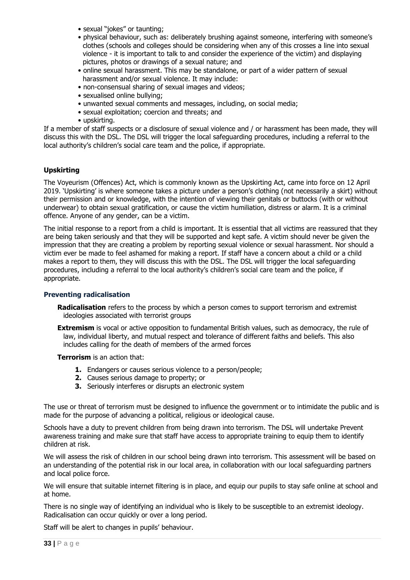- sexual "jokes" or taunting;
- physical behaviour, such as: deliberately brushing against someone, interfering with someone's clothes (schools and colleges should be considering when any of this crosses a line into sexual violence - it is important to talk to and consider the experience of the victim) and displaying pictures, photos or drawings of a sexual nature; and
- online sexual harassment. This may be standalone, or part of a wider pattern of sexual harassment and/or sexual violence. It may include:
- non-consensual sharing of sexual images and videos;
- sexualised online bullying;
- unwanted sexual comments and messages, including, on social media;
- sexual exploitation; coercion and threats; and
- upskirting.

If a member of staff suspects or a disclosure of sexual violence and / or harassment has been made, they will discuss this with the DSL. The DSL will trigger the local safeguarding procedures, including a referral to the local authority's children's social care team and the police, if appropriate.

#### **Upskirting**

The Voyeurism (Offences) Act, which is commonly known as the Upskirting Act, came into force on 12 April 2019. 'Upskirting' is where someone takes a picture under a person's clothing (not necessarily a skirt) without their permission and or knowledge, with the intention of viewing their genitals or buttocks (with or without underwear) to obtain sexual gratification, or cause the victim humiliation, distress or alarm. It is a criminal offence. Anyone of any gender, can be a victim.

The initial response to a report from a child is important. It is essential that all victims are reassured that they are being taken seriously and that they will be supported and kept safe. A victim should never be given the impression that they are creating a problem by reporting sexual violence or sexual harassment. Nor should a victim ever be made to feel ashamed for making a report. If staff have a concern about a child or a child makes a report to them, they will discuss this with the DSL. The DSL will trigger the local safeguarding procedures, including a referral to the local authority's children's social care team and the police, if appropriate.

#### **Preventing radicalisation**

**Radicalisation** refers to the process by which a person comes to support terrorism and extremist ideologies associated with terrorist groups

**Extremism** is vocal or active opposition to fundamental British values, such as democracy, the rule of law, individual liberty, and mutual respect and tolerance of different faiths and beliefs. This also includes calling for the death of members of the armed forces

**Terrorism** is an action that:

- **1.** Endangers or causes serious violence to a person/people;
- **2.** Causes serious damage to property; or
- **3.** Seriously interferes or disrupts an electronic system

The use or threat of terrorism must be designed to influence the government or to intimidate the public and is made for the purpose of advancing a political, religious or ideological cause.

Schools have a duty to prevent children from being drawn into terrorism. The DSL will undertake Prevent awareness training and make sure that staff have access to appropriate training to equip them to identify children at risk.

We will assess the risk of children in our school being drawn into terrorism. This assessment will be based on an understanding of the potential risk in our local area, in collaboration with our local safeguarding partners and local police force.

We will ensure that suitable internet filtering is in place, and equip our pupils to stay safe online at school and at home.

There is no single way of identifying an individual who is likely to be susceptible to an extremist ideology. Radicalisation can occur quickly or over a long period.

Staff will be alert to changes in pupils' behaviour.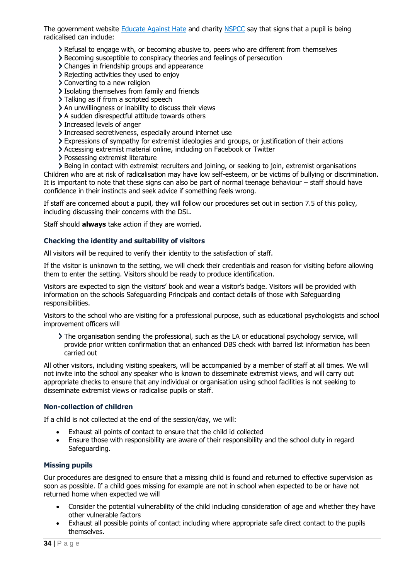The government website [Educate Against Hate](http://educateagainsthate.com/parents/what-are-the-warning-signs/) and charity [NSPCC](https://www.nspcc.org.uk/what-you-can-do/report-abuse/dedicated-helplines/protecting-children-from-radicalisation/) say that signs that a pupil is being radicalised can include:

- Refusal to engage with, or becoming abusive to, peers who are different from themselves
- Becoming susceptible to conspiracy theories and feelings of persecution
- Changes in friendship groups and appearance
- Rejecting activities they used to enjoy
- Converting to a new religion
- Isolating themselves from family and friends
- > Talking as if from a scripted speech
- An unwillingness or inability to discuss their views
- A sudden disrespectful attitude towards others
- > Increased levels of anger
- Increased secretiveness, especially around internet use
- Expressions of sympathy for extremist ideologies and groups, or justification of their actions
- Accessing extremist material online, including on Facebook or Twitter
- > Possessing extremist literature

Being in contact with extremist recruiters and joining, or seeking to join, extremist organisations Children who are at risk of radicalisation may have low self-esteem, or be victims of bullying or discrimination. It is important to note that these signs can also be part of normal teenage behaviour – staff should have confidence in their instincts and seek advice if something feels wrong.

If staff are concerned about a pupil, they will follow our procedures set out in section 7.5 of this policy, including discussing their concerns with the DSL.

Staff should **always** take action if they are worried.

#### **Checking the identity and suitability of visitors**

All visitors will be required to verify their identity to the satisfaction of staff.

If the visitor is unknown to the setting, we will check their credentials and reason for visiting before allowing them to enter the setting. Visitors should be ready to produce identification.

Visitors are expected to sign the visitors' book and wear a visitor's badge. Visitors will be provided with information on the schools Safeguarding Principals and contact details of those with Safeguarding responsibilities.

Visitors to the school who are visiting for a professional purpose, such as educational psychologists and school improvement officers will

The organisation sending the professional, such as the LA or educational psychology service, will provide prior written confirmation that an enhanced DBS check with barred list information has been carried out

All other visitors, including visiting speakers, will be accompanied by a member of staff at all times. We will not invite into the school any speaker who is known to disseminate extremist views, and will carry out appropriate checks to ensure that any individual or organisation using school facilities is not seeking to disseminate extremist views or radicalise pupils or staff.

#### **Non-collection of children**

If a child is not collected at the end of the session/day, we will:

- Exhaust all points of contact to ensure that the child id collected
- Ensure those with responsibility are aware of their responsibility and the school duty in regard Safeguarding.

#### **Missing pupils**

Our procedures are designed to ensure that a missing child is found and returned to effective supervision as soon as possible. If a child goes missing for example are not in school when expected to be or have not returned home when expected we will

- Consider the potential vulnerability of the child including consideration of age and whether they have other vulnerable factors
- Exhaust all possible points of contact including where appropriate safe direct contact to the pupils themselves.